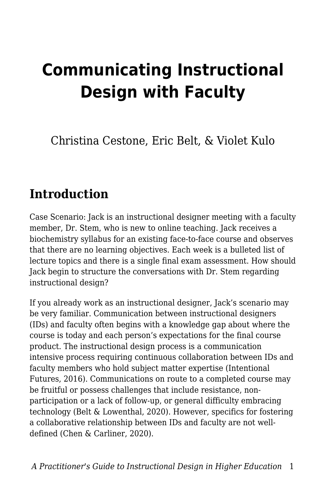# **Communicating Instructional Design with Faculty**

Christina Cestone, Eric Belt, & Violet Kulo

#### **Introduction**

Case Scenario: Jack is an instructional designer meeting with a faculty member, Dr. Stem, who is new to online teaching. Jack receives a biochemistry syllabus for an existing face-to-face course and observes that there are no learning objectives. Each week is a bulleted list of lecture topics and there is a single final exam assessment. How should Jack begin to structure the conversations with Dr. Stem regarding instructional design?

If you already work as an instructional designer, Jack's scenario may be very familiar. Communication between instructional designers (IDs) and faculty often begins with a knowledge gap about where the course is today and each person's expectations for the final course product. The instructional design process is a communication intensive process requiring continuous collaboration between IDs and faculty members who hold subject matter expertise (Intentional Futures, 2016). Communications on route to a completed course may be fruitful or possess challenges that include resistance, nonparticipation or a lack of follow-up, or general difficulty embracing technology (Belt & Lowenthal, 2020). However, specifics for fostering a collaborative relationship between IDs and faculty are not welldefined (Chen & Carliner, 2020).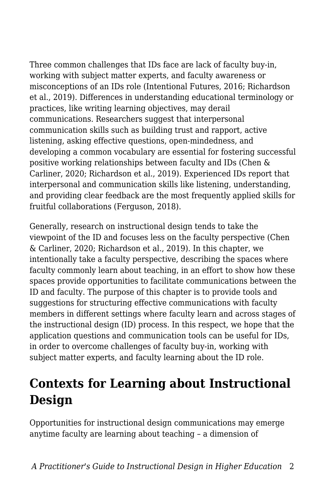Three common challenges that IDs face are lack of faculty buy-in, working with subject matter experts, and faculty awareness or misconceptions of an IDs role (Intentional Futures, 2016; Richardson et al., 2019). Differences in understanding educational terminology or practices, like writing learning objectives, may derail communications. Researchers suggest that interpersonal communication skills such as building trust and rapport, active listening, asking effective questions, open-mindedness, and developing a common vocabulary are essential for fostering successful positive working relationships between faculty and IDs (Chen & Carliner, 2020; Richardson et al., 2019). Experienced IDs report that interpersonal and communication skills like listening, understanding, and providing clear feedback are the most frequently applied skills for fruitful collaborations (Ferguson, 2018).

Generally, research on instructional design tends to take the viewpoint of the ID and focuses less on the faculty perspective (Chen & Carliner, 2020; Richardson et al., 2019). In this chapter, we intentionally take a faculty perspective, describing the spaces where faculty commonly learn about teaching, in an effort to show how these spaces provide opportunities to facilitate communications between the ID and faculty. The purpose of this chapter is to provide tools and suggestions for structuring effective communications with faculty members in different settings where faculty learn and across stages of the instructional design (ID) process. In this respect, we hope that the application questions and communication tools can be useful for IDs, in order to overcome challenges of faculty buy-in, working with subject matter experts, and faculty learning about the ID role.

### **Contexts for Learning about Instructional Design**

Opportunities for instructional design communications may emerge anytime faculty are learning about teaching – a dimension of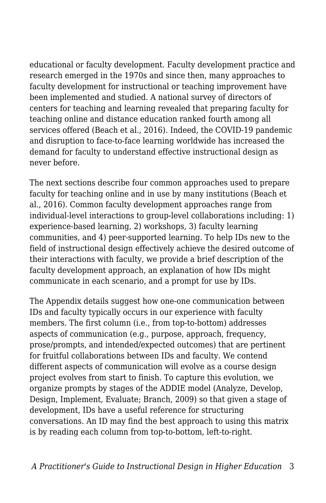educational or faculty development. Faculty development practice and research emerged in the 1970s and since then, many approaches to faculty development for instructional or teaching improvement have been implemented and studied. A national survey of directors of centers for teaching and learning revealed that preparing faculty for teaching online and distance education ranked fourth among all services offered (Beach et al., 2016). Indeed, the COVID-19 pandemic and disruption to face-to-face learning worldwide has increased the demand for faculty to understand effective instructional design as never before.

The next sections describe four common approaches used to prepare faculty for teaching online and in use by many institutions (Beach et al., 2016). Common faculty development approaches range from individual-level interactions to group-level collaborations including: 1) experience-based learning, 2) workshops, 3) faculty learning communities, and 4) peer-supported learning. To help IDs new to the field of instructional design effectively achieve the desired outcome of their interactions with faculty, we provide a brief description of the faculty development approach, an explanation of how IDs might communicate in each scenario, and a prompt for use by IDs.

The Appendix details suggest how one-one communication between IDs and faculty typically occurs in our experience with faculty members. The first column (i.e., from top-to-bottom) addresses aspects of communication (e.g., purpose, approach, frequency, prose/prompts, and intended/expected outcomes) that are pertinent for fruitful collaborations between IDs and faculty. We contend different aspects of communication will evolve as a course design project evolves from start to finish. To capture this evolution, we organize prompts by stages of the ADDIE model (Analyze, Develop, Design, Implement, Evaluate; Branch, 2009) so that given a stage of development, IDs have a useful reference for structuring conversations. An ID may find the best approach to using this matrix is by reading each column from top-to-bottom, left-to-right.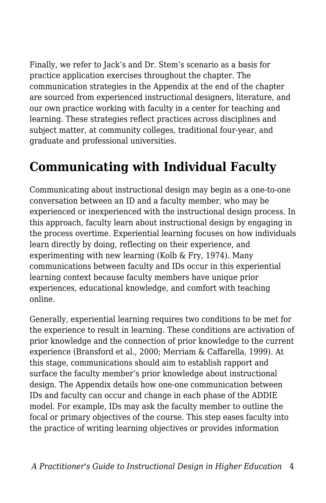Finally, we refer to Jack's and Dr. Stem's scenario as a basis for practice application exercises throughout the chapter. The communication strategies in the Appendix at the end of the chapter are sourced from experienced instructional designers, literature, and our own practice working with faculty in a center for teaching and learning. These strategies reflect practices across disciplines and subject matter, at community colleges, traditional four-year, and graduate and professional universities.

## **Communicating with Individual Faculty**

Communicating about instructional design may begin as a one-to-one conversation between an ID and a faculty member, who may be experienced or inexperienced with the instructional design process. In this approach, faculty learn about instructional design by engaging in the process overtime. Experiential learning focuses on how individuals learn directly by doing, reflecting on their experience, and experimenting with new learning (Kolb & Fry, 1974). Many communications between faculty and IDs occur in this experiential learning context because faculty members have unique prior experiences, educational knowledge, and comfort with teaching online.

Generally, experiential learning requires two conditions to be met for the experience to result in learning. These conditions are activation of prior knowledge and the connection of prior knowledge to the current experience (Bransford et al., 2000; Merriam & Caffarella, 1999). At this stage, communications should aim to establish rapport and surface the faculty member's prior knowledge about instructional design. The Appendix details how one-one communication between IDs and faculty can occur and change in each phase of the ADDIE model. For example, IDs may ask the faculty member to outline the focal or primary objectives of the course. This step eases faculty into the practice of writing learning objectives or provides information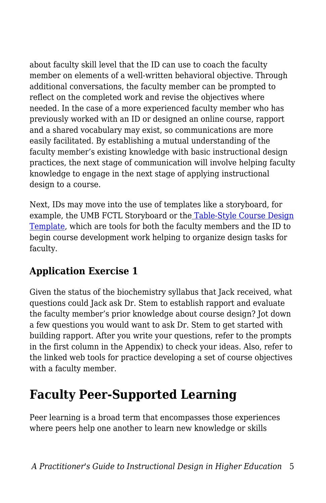about faculty skill level that the ID can use to coach the faculty member on elements of a well-written behavioral objective. Through additional conversations, the faculty member can be prompted to reflect on the completed work and revise the objectives where needed. In the case of a more experienced faculty member who has previously worked with an ID or designed an online course, rapport and a shared vocabulary may exist, so communications are more easily facilitated. By establishing a mutual understanding of the faculty member's existing knowledge with basic instructional design practices, the next stage of communication will involve helping faculty knowledge to engage in the next stage of applying instructional design to a course.

Next, IDs may move into the use of templates like a storyboard, for example, the UMB FCTL Storyboard or th[e](https://airtable.com/templates/content-production/expojxyt3dvciZqvm/addie-instructional-design-model) [Table-Style Course Design](https://airtable.com/templates/content-production/expojxyt3dvciZqvm/addie-instructional-design-model) [Template,](https://airtable.com/templates/content-production/expojxyt3dvciZqvm/addie-instructional-design-model) which are tools for both the faculty members and the ID to begin course development work helping to organize design tasks for faculty.

#### **Application Exercise 1**

Given the status of the biochemistry syllabus that Jack received, what questions could Jack ask Dr. Stem to establish rapport and evaluate the faculty member's prior knowledge about course design? Jot down a few questions you would want to ask Dr. Stem to get started with building rapport. After you write your questions, refer to the prompts in the first column in the Appendix) to check your ideas. Also, refer to the linked web tools for practice developing a set of course objectives with a faculty member.

### **Faculty Peer-Supported Learning**

Peer learning is a broad term that encompasses those experiences where peers help one another to learn new knowledge or skills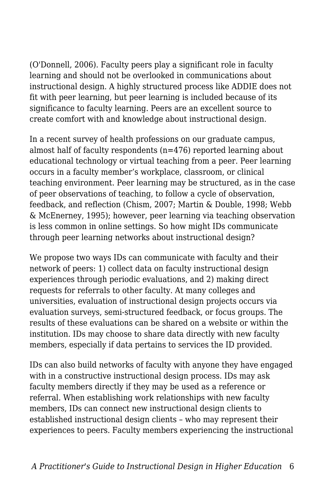(O'Donnell, 2006). Faculty peers play a significant role in faculty learning and should not be overlooked in communications about instructional design. A highly structured process like ADDIE does not fit with peer learning, but peer learning is included because of its significance to faculty learning. Peers are an excellent source to create comfort with and knowledge about instructional design.

In a recent survey of health professions on our graduate campus, almost half of faculty respondents (n=476) reported learning about educational technology or virtual teaching from a peer. Peer learning occurs in a faculty member's workplace, classroom, or clinical teaching environment. Peer learning may be structured, as in the case of peer observations of teaching, to follow a cycle of observation, feedback, and reflection (Chism, 2007; Martin & Double, 1998; Webb & McEnerney, 1995); however, peer learning via teaching observation is less common in online settings. So how might IDs communicate through peer learning networks about instructional design?

We propose two ways IDs can communicate with faculty and their network of peers: 1) collect data on faculty instructional design experiences through periodic evaluations, and 2) making direct requests for referrals to other faculty. At many colleges and universities, evaluation of instructional design projects occurs via evaluation surveys, semi-structured feedback, or focus groups. The results of these evaluations can be shared on a website or within the institution. IDs may choose to share data directly with new faculty members, especially if data pertains to services the ID provided.

IDs can also build networks of faculty with anyone they have engaged with in a constructive instructional design process. IDs may ask faculty members directly if they may be used as a reference or referral. When establishing work relationships with new faculty members, IDs can connect new instructional design clients to established instructional design clients – who may represent their experiences to peers. Faculty members experiencing the instructional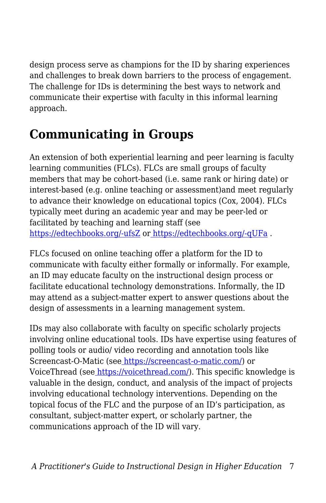design process serve as champions for the ID by sharing experiences and challenges to break down barriers to the process of engagement. The challenge for IDs is determining the best ways to network and communicate their expertise with faculty in this informal learning approach.

### **Communicating in Groups**

An extension of both experiential learning and peer learning is faculty learning communities (FLCs). FLCs are small groups of faculty members that may be cohort-based (i.e. same rank or hiring date) or interest-based (e.g. online teaching or assessment)and meet regularly to advance their knowledge on educational topics (Cox, 2004). FLCs typically meet during an academic year and may be peer-led or facilitated by teaching and learning staff (see [https://edtechbooks.org/-ufsZ](https://citl.indiana.edu/programs/faculty-learning-communities/index.html) or [https://edtechbooks.org/-qUFa](https://www.umaryland.edu/fctl/programs/online-teaching-community/) .

FLCs focused on online teaching offer a platform for the ID to communicate with faculty either formally or informally. For example, an ID may educate faculty on the instructional design process or facilitate educational technology demonstrations. Informally, the ID may attend as a subject-matter expert to answer questions about the design of assessments in a learning management system.

IDs may also collaborate with faculty on specific scholarly projects involving online educational tools. IDs have expertise using features of polling tools or audio/ video recording and annotation tools like Screencast-O-Matic (see [https://screencast-o-matic.com/\)](https://screencast-o-matic.com/) or VoiceThread (se[e](https://voicethread.com/) <https://voicethread.com/>). This specific knowledge is valuable in the design, conduct, and analysis of the impact of projects involving educational technology interventions. Depending on the topical focus of the FLC and the purpose of an ID's participation, as consultant, subject-matter expert, or scholarly partner, the communications approach of the ID will vary.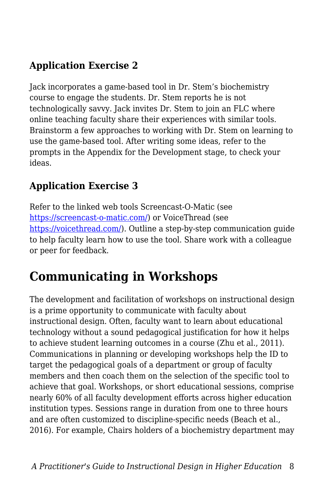#### **Application Exercise 2**

Jack incorporates a game-based tool in Dr. Stem's biochemistry course to engage the students. Dr. Stem reports he is not technologically savvy. Jack invites Dr. Stem to join an FLC where online teaching faculty share their experiences with similar tools. Brainstorm a few approaches to working with Dr. Stem on learning to use the game-based tool. After writing some ideas, refer to the prompts in the Appendix for the Development stage, to check your ideas.

#### **Application Exercise 3**

Refer to the linked web tools Screencast-O-Matic (see <https://screencast-o-matic.com/>) or VoiceThread (see <https://voicethread.com/>). Outline a step-by-step communication guide to help faculty learn how to use the tool. Share work with a colleague or peer for feedback.

### **Communicating in Workshops**

The development and facilitation of workshops on instructional design is a prime opportunity to communicate with faculty about instructional design. Often, faculty want to learn about educational technology without a sound pedagogical justification for how it helps to achieve student learning outcomes in a course (Zhu et al., 2011). Communications in planning or developing workshops help the ID to target the pedagogical goals of a department or group of faculty members and then coach them on the selection of the specific tool to achieve that goal. Workshops, or short educational sessions, comprise nearly 60% of all faculty development efforts across higher education institution types. Sessions range in duration from one to three hours and are often customized to discipline-specific needs (Beach et al., 2016). For example, Chairs holders of a biochemistry department may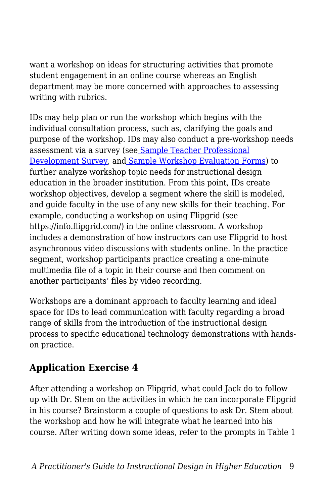want a workshop on ideas for structuring activities that promote student engagement in an online course whereas an English department may be more concerned with approaches to assessing writing with rubrics.

IDs may help plan or run the workshop which begins with the individual consultation process, such as, clarifying the goals and purpose of the workshop. IDs may also conduct a pre-workshop needs assessment via a survey (se[e](https://www.sogosurvey.com/survey-templates/school/teacher-professional-development-survey/) [Sample Teacher Professional](https://www.sogosurvey.com/survey-templates/school/teacher-professional-development-survey/) [Development Survey,](https://www.sogosurvey.com/survey-templates/school/teacher-professional-development-survey/) an[d](https://www.sampleforms.com/workshop-evaluation-form.html) [Sample Workshop Evaluation Forms\)](https://www.sampleforms.com/workshop-evaluation-form.html) to further analyze workshop topic needs for instructional design education in the broader institution. From this point, IDs create workshop objectives, develop a segment where the skill is modeled, and guide faculty in the use of any new skills for their teaching. For example, conducting a workshop on using Flipgrid (see https://info.flipgrid.com/) in the online classroom. A workshop includes a demonstration of how instructors can use Flipgrid to host asynchronous video discussions with students online. In the practice segment, workshop participants practice creating a one-minute multimedia file of a topic in their course and then comment on another participants' files by video recording.

Workshops are a dominant approach to faculty learning and ideal space for IDs to lead communication with faculty regarding a broad range of skills from the introduction of the instructional design process to specific educational technology demonstrations with handson practice.

#### **Application Exercise 4**

After attending a workshop on Flipgrid, what could Jack do to follow up with Dr. Stem on the activities in which he can incorporate Flipgrid in his course? Brainstorm a couple of questions to ask Dr. Stem about the workshop and how he will integrate what he learned into his course. After writing down some ideas, refer to the prompts in Table 1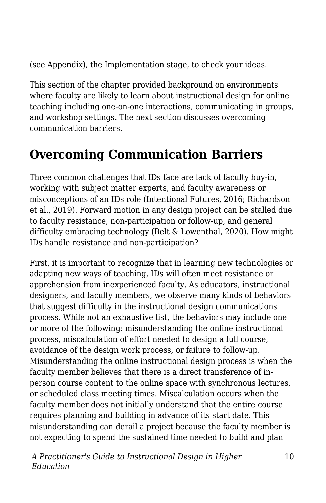(see Appendix), the Implementation stage, to check your ideas.

This section of the chapter provided background on environments where faculty are likely to learn about instructional design for online teaching including one-on-one interactions, communicating in groups, and workshop settings. The next section discusses overcoming communication barriers.

### **Overcoming Communication Barriers**

Three common challenges that IDs face are lack of faculty buy-in, working with subject matter experts, and faculty awareness or misconceptions of an IDs role (Intentional Futures, 2016; Richardson et al., 2019). Forward motion in any design project can be stalled due to faculty resistance, non-participation or follow-up, and general difficulty embracing technology (Belt & Lowenthal, 2020). How might IDs handle resistance and non-participation?

First, it is important to recognize that in learning new technologies or adapting new ways of teaching, IDs will often meet resistance or apprehension from inexperienced faculty. As educators, instructional designers, and faculty members, we observe many kinds of behaviors that suggest difficulty in the instructional design communications process. While not an exhaustive list, the behaviors may include one or more of the following: misunderstanding the online instructional process, miscalculation of effort needed to design a full course, avoidance of the design work process, or failure to follow-up. Misunderstanding the online instructional design process is when the faculty member believes that there is a direct transference of inperson course content to the online space with synchronous lectures, or scheduled class meeting times. Miscalculation occurs when the faculty member does not initially understand that the entire course requires planning and building in advance of its start date. This misunderstanding can derail a project because the faculty member is not expecting to spend the sustained time needed to build and plan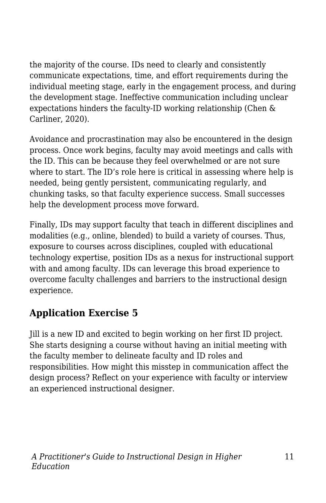the majority of the course. IDs need to clearly and consistently communicate expectations, time, and effort requirements during the individual meeting stage, early in the engagement process, and during the development stage. Ineffective communication including unclear expectations hinders the faculty-ID working relationship (Chen & Carliner, 2020).

Avoidance and procrastination may also be encountered in the design process. Once work begins, faculty may avoid meetings and calls with the ID. This can be because they feel overwhelmed or are not sure where to start. The ID's role here is critical in assessing where help is needed, being gently persistent, communicating regularly, and chunking tasks, so that faculty experience success. Small successes help the development process move forward.

Finally, IDs may support faculty that teach in different disciplines and modalities (e.g., online, blended) to build a variety of courses. Thus, exposure to courses across disciplines, coupled with educational technology expertise, position IDs as a nexus for instructional support with and among faculty. IDs can leverage this broad experience to overcome faculty challenges and barriers to the instructional design experience.

#### **Application Exercise 5**

Jill is a new ID and excited to begin working on her first ID project. She starts designing a course without having an initial meeting with the faculty member to delineate faculty and ID roles and responsibilities. How might this misstep in communication affect the design process? Reflect on your experience with faculty or interview an experienced instructional designer.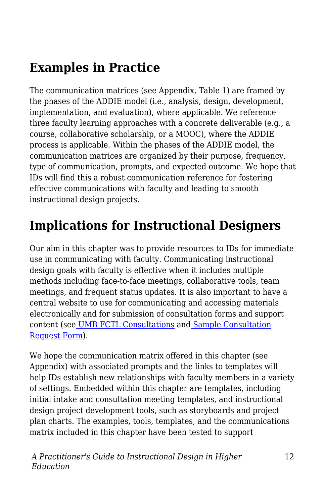### **Examples in Practice**

The communication matrices (see Appendix, Table 1) are framed by the phases of the ADDIE model (i.e., analysis, design, development, implementation, and evaluation), where applicable. We reference three faculty learning approaches with a concrete deliverable (e.g., a course, collaborative scholarship, or a MOOC), where the ADDIE process is applicable. Within the phases of the ADDIE model, the communication matrices are organized by their purpose, frequency, type of communication, prompts, and expected outcome. We hope that IDs will find this a robust communication reference for fostering effective communications with faculty and leading to smooth instructional design projects.

#### **Implications for Instructional Designers**

Our aim in this chapter was to provide resources to IDs for immediate use in communicating with faculty. Communicating instructional design goals with faculty is effective when it includes multiple methods including face-to-face meetings, collaborative tools, team meetings, and frequent status updates. It is also important to have a central website to use for communicating and accessing materials electronically and for submission of consultation forms and support content (se[e](https://www.umaryland.edu/fctl/services/consultations/) [UMB FCTL Consultations](https://www.umaryland.edu/fctl/services/consultations/) and [Sample Consultation](https://umbfctl.wufoo.com/forms/z1p5oo0n1n511ks/) [Request Form\)](https://umbfctl.wufoo.com/forms/z1p5oo0n1n511ks/).

We hope the communication matrix offered in this chapter (see Appendix) with associated prompts and the links to templates will help IDs establish new relationships with faculty members in a variety of settings. Embedded within this chapter are templates, including initial intake and consultation meeting templates, and instructional design project development tools, such as storyboards and project plan charts. The examples, tools, templates, and the communications matrix included in this chapter have been tested to support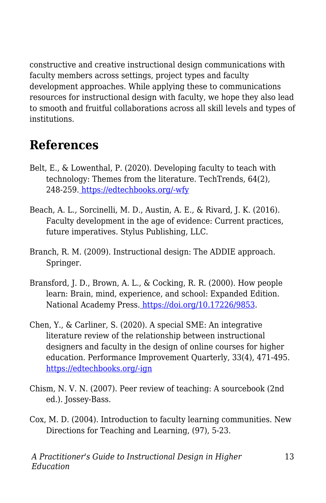constructive and creative instructional design communications with faculty members across settings, project types and faculty development approaches. While applying these to communications resources for instructional design with faculty, we hope they also lead to smooth and fruitful collaborations across all skill levels and types of institutions.

### **References**

- Belt, E., & Lowenthal, P. (2020). Developing faculty to teach with technology: Themes from the literature. TechTrends, 64(2), 248-259[.](https://doi.org/10.1007/s11528-019-00447-6) [https://edtechbooks.org/-wfy](https://doi.org/10.1007/s11528-019-00447-6)
- Beach, A. L., Sorcinelli, M. D., Austin, A. E., & Rivard, J. K. (2016). Faculty development in the age of evidence: Current practices, future imperatives. Stylus Publishing, LLC.
- Branch, R. M. (2009). Instructional design: The ADDIE approach. Springer.
- Bransford, J. D., Brown, A. L., & Cocking, R. R. (2000). How people learn: Brain, mind, experience, and school: Expanded Edition. National Academy Press[.](https://doi.org/10.17226/9853) [https://doi.org/10.17226/9853.](https://doi.org/10.17226/9853)
- Chen, Y., & Carliner, S. (2020). A special SME: An integrative literature review of the relationship between instructional designers and faculty in the design of online courses for higher education. Performance Improvement Quarterly, 33(4), 471-495. [https://edtechbooks.org/-ign](https://doi.org/10.1002/piq.21339)
- Chism, N. V. N. (2007). Peer review of teaching: A sourcebook (2nd ed.). Jossey-Bass.
- Cox, M. D. (2004). Introduction to faculty learning communities. New Directions for Teaching and Learning, (97), 5-23.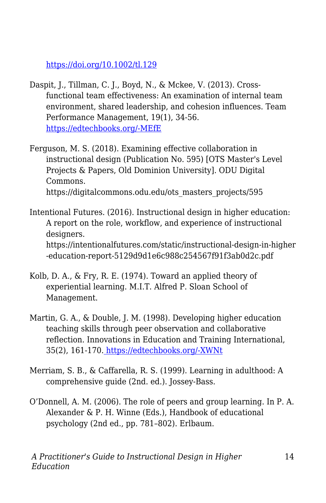<https://doi.org/10.1002/tl.129>

- Daspit, J., Tillman, C. J., Boyd, N., & Mckee, V. (2013). Crossfunctional team effectiveness: An examination of internal team environment, shared leadership, and cohesion influences. Team Performance Management, 19(1), 34-56. [https://edtechbooks.org/-MEfE](https://doi.org/10.1108/13527591311312088)
- Ferguson, M. S. (2018). Examining effective collaboration in instructional design (Publication No. 595) [OTS Master's Level Projects & Papers, Old Dominion University]. ODU Digital Commons. https://digitalcommons.odu.edu/ots\_masters\_projects/595
- Intentional Futures. (2016). Instructional design in higher education: A report on the role, workflow, and experience of instructional designers. https://intentionalfutures.com/static/instructional-design-in-higher -education-report-5129d9d1e6c988c254567f91f3ab0d2c.pdf
- Kolb, D. A., & Fry, R. E. (1974). Toward an applied theory of experiential learning. M.I.T. Alfred P. Sloan School of Management.
- Martin, G. A., & Double, J. M. (1998). Developing higher education teaching skills through peer observation and collaborative reflection. Innovations in Education and Training International, 35(2), 161-170[.](https://doi.org/10.1080/1355800980350210) [https://edtechbooks.org/-XWNt](https://doi.org/10.1080/1355800980350210)
- Merriam, S. B., & Caffarella, R. S. (1999). Learning in adulthood: A comprehensive guide (2nd. ed.). Jossey-Bass.
- O'Donnell, A. M. (2006). The role of peers and group learning. In P. A. Alexander & P. H. Winne (Eds.), Handbook of educational psychology (2nd ed., pp. 781–802). Erlbaum.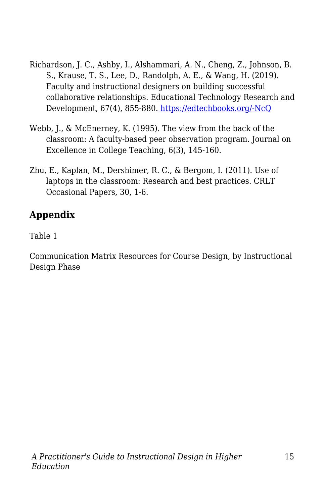- Richardson, J. C., Ashby, I., Alshammari, A. N., Cheng, Z., Johnson, B. S., Krause, T. S., Lee, D., Randolph, A. E., & Wang, H. (2019). Faculty and instructional designers on building successful collaborative relationships. Educational Technology Research and Development, 67(4), 855-880[.](https://doi.org/10.1007/s11423-018-9636-4) [https://edtechbooks.org/-NcQ](https://doi.org/10.1007/s11423-018-9636-4)
- Webb, J., & McEnerney, K. (1995). The view from the back of the classroom: A faculty-based peer observation program. Journal on Excellence in College Teaching, 6(3), 145-160.
- Zhu, E., Kaplan, M., Dershimer, R. C., & Bergom, I. (2011). Use of laptops in the classroom: Research and best practices. CRLT Occasional Papers, 30, 1-6.

#### **Appendix**

Table 1

Communication Matrix Resources for Course Design, by Instructional Design Phase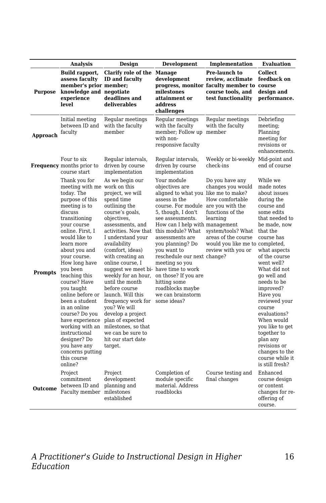|                | <b>Analysis</b>                                                                                                                                                                                                                                                                                                                                                                                                                                                                                                         | Design                                                                                                                                                                                                                                                                                                                                                                                                                                                                                                                                                  | <b>Development</b>                                                                                                                                                                                                                                                                                                                                                                                               | Implementation                                                                                                                                                                                | <b>Evaluation</b>                                                                                                                                                                                                                                                                                                                                                                                                                                 |
|----------------|-------------------------------------------------------------------------------------------------------------------------------------------------------------------------------------------------------------------------------------------------------------------------------------------------------------------------------------------------------------------------------------------------------------------------------------------------------------------------------------------------------------------------|---------------------------------------------------------------------------------------------------------------------------------------------------------------------------------------------------------------------------------------------------------------------------------------------------------------------------------------------------------------------------------------------------------------------------------------------------------------------------------------------------------------------------------------------------------|------------------------------------------------------------------------------------------------------------------------------------------------------------------------------------------------------------------------------------------------------------------------------------------------------------------------------------------------------------------------------------------------------------------|-----------------------------------------------------------------------------------------------------------------------------------------------------------------------------------------------|---------------------------------------------------------------------------------------------------------------------------------------------------------------------------------------------------------------------------------------------------------------------------------------------------------------------------------------------------------------------------------------------------------------------------------------------------|
| <b>Purpose</b> | Build rapport,<br>assess faculty<br>member's prior member;<br>knowledge and negotiate<br>experience<br>level                                                                                                                                                                                                                                                                                                                                                                                                            | <b>Clarify role of the Manage</b><br><b>ID</b> and faculty<br>deadlines and<br>deliverables                                                                                                                                                                                                                                                                                                                                                                                                                                                             | development<br>milestones<br>attainment or<br>address<br>challenges                                                                                                                                                                                                                                                                                                                                              | Pre-launch to<br>review, acclimate<br>progress, monitor faculty member to course<br>course tools, and<br>test functionality                                                                   | Collect.<br>feedback on<br>design and<br>performance.                                                                                                                                                                                                                                                                                                                                                                                             |
| Approach       | Initial meeting<br>between ID and<br>faculty                                                                                                                                                                                                                                                                                                                                                                                                                                                                            | Regular meetings<br>with the faculty<br>member                                                                                                                                                                                                                                                                                                                                                                                                                                                                                                          | Regular meetings<br>with the faculty<br>member; Follow up member<br>with non-<br>responsive faculty                                                                                                                                                                                                                                                                                                              | Regular meetings<br>with the faculty                                                                                                                                                          | Debriefing<br>meeting;<br>Planning<br>meeting for<br>revisions or<br>enhancements.                                                                                                                                                                                                                                                                                                                                                                |
|                | Four to six<br><b>Frequency</b> months prior to<br>course start                                                                                                                                                                                                                                                                                                                                                                                                                                                         | Regular intervals,<br>driven by course<br>implementation                                                                                                                                                                                                                                                                                                                                                                                                                                                                                                | Regular intervals,<br>driven by course<br>implementation                                                                                                                                                                                                                                                                                                                                                         | Weekly or bi-weekly Mid-point and<br>check-ins                                                                                                                                                | end of course                                                                                                                                                                                                                                                                                                                                                                                                                                     |
| <b>Prompts</b> | Thank you for<br>meeting with me work on this<br>today. The<br>purpose of this<br>meeting is to<br>discuss<br>transitioning<br>vour course<br>online. First. I<br>would like to<br>learn more<br>about you and<br>your course.<br>How long have<br>you been<br>teaching this<br>course? Have<br>you taught<br>online before or<br>been a student<br>in an online<br>course? Do you<br>have experience<br>working with an<br>instructional<br>designer? Do<br>you have any<br>concerns putting<br>this course<br>online? | As we begin our<br>project, we will<br>spend time<br>outlining the<br>course's goals,<br>objectives,<br>assessments, and<br>activities. Now that this module? What<br>I understand your<br>availability<br>(comfort, ideas)<br>with creating an<br>online course, I<br>suggest we meet bi-have time to work<br>weekly for an hour,<br>until the month<br>before course<br>launch. Will this<br>frequency work for<br>you? We will<br>develop a project<br>plan of expected<br>milestones, so that<br>we can be sure to<br>hit our start date<br>target. | Your module<br>objectives are<br>aligned to what you like me to make?<br>assess in the<br>course. For module are you with the<br>5, though, I don't<br>see assessments.<br>How can I help with management<br>assessments are<br>you planning? Do<br>you want to<br>reschedule our next change?<br>meeting so you<br>on those? If you are<br>hitting some<br>roadblocks maybe<br>we can brainstorm<br>some ideas? | Do you have any<br>changes you would<br>How comfortable<br>functions of the<br>learning<br>system/tools? What<br>areas of the course<br>would you like me to completed,<br>review with you or | While we<br>made notes<br>about issues<br>during the<br>course and<br>some edits<br>that needed to<br>be made, now<br>that the<br>course has<br>what aspects<br>of the course<br>went well?<br>What did not<br>go well and<br>needs to be<br>improved?<br>Have you<br>reviewed your<br>course<br>evaluations?<br>When would<br>you like to get<br>together to<br>plan any<br>revisions or<br>changes to the<br>course while it<br>is still fresh? |
| <b>Outcome</b> | Project<br>commitment<br>between ID and<br>Faculty member                                                                                                                                                                                                                                                                                                                                                                                                                                                               | Project<br>development<br>planning and<br>milestones<br>established                                                                                                                                                                                                                                                                                                                                                                                                                                                                                     | Completion of<br>module specific<br>material. Address<br>roadblocks                                                                                                                                                                                                                                                                                                                                              | Course testing and<br>final changes                                                                                                                                                           | Enhanced<br>course design<br>or content<br>changes for re-<br>offering of<br>course.                                                                                                                                                                                                                                                                                                                                                              |